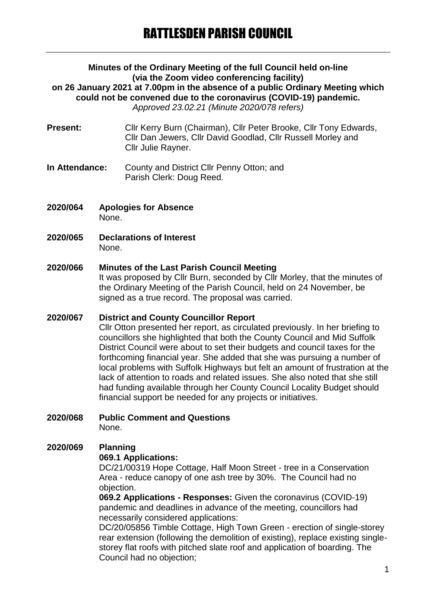#### **Minutes of the Ordinary Meeting of the full Council held on-line (via the Zoom video conferencing facility) on 26 January 2021 at 7.00pm in the absence of a public Ordinary Meeting which could not be convened due to the coronavirus (COVID-19) pandemic.** *Approved 23.02.21 (Minute 2020/078 refers)*

- **Present:** Cllr Kerry Burn (Chairman), Cllr Peter Brooke, Cllr Tony Edwards, Cllr Dan Jewers, Cllr David Goodlad, Cllr Russell Morley and Cllr Julie Rayner.
- **In Attendance:** County and District Cllr Penny Otton; and Parish Clerk: Doug Reed.
- **2020/064 Apologies for Absence** None.
- **2020/065 Declarations of Interest** None.

#### **2020/066 Minutes of the Last Parish Council Meeting**

It was proposed by Cllr Burn, seconded by Cllr Morley, that the minutes of the Ordinary Meeting of the Parish Council, held on 24 November, be signed as a true record. The proposal was carried.

#### **2020/067 District and County Councillor Report**

Cllr Otton presented her report, as circulated previously. In her briefing to councillors she highlighted that both the County Council and Mid Suffolk District Council were about to set their budgets and council taxes for the forthcoming financial year. She added that she was pursuing a number of local problems with Suffolk Highways but felt an amount of frustration at the lack of attention to roads and related issues. She also noted that she still had funding available through her County Council Locality Budget should financial support be needed for any projects or initiatives.

**2020/068 Public Comment and Questions** None.

# **2020/069 Planning**

#### **069.1 Applications:**

DC/21/00319 Hope Cottage, Half Moon Street - tree in a Conservation Area - reduce canopy of one ash tree by 30%. The Council had no objection.

**069.2 Applications - Responses:** Given the coronavirus (COVID-19) pandemic and deadlines in advance of the meeting, councillors had necessarily considered applications:

DC/20/05856 Timble Cottage, High Town Green - erection of single-storey rear extension (following the demolition of existing), replace existing singlestorey flat roofs with pitched slate roof and application of boarding. The Council had no objection;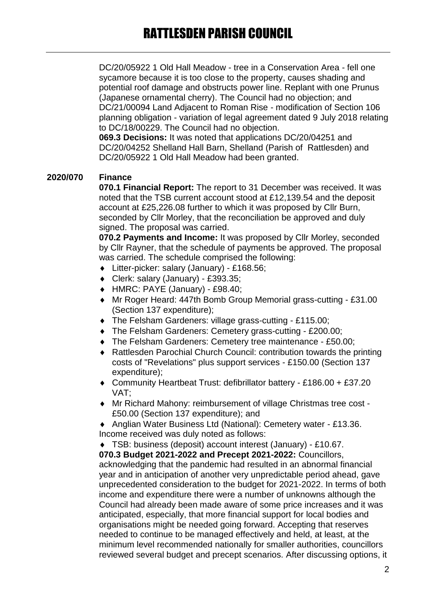DC/20/05922 1 Old Hall Meadow - tree in a Conservation Area - fell one sycamore because it is too close to the property, causes shading and potential roof damage and obstructs power line. Replant with one Prunus (Japanese ornamental cherry). The Council had no objection; and DC/21/00094 Land Adjacent to Roman Rise - modification of Section 106 planning obligation - variation of legal agreement dated 9 July 2018 relating to DC/18/00229. The Council had no objection.

**069.3 Decisions:** It was noted that applications DC/20/04251 and DC/20/04252 Shelland Hall Barn, Shelland (Parish of Rattlesden) and DC/20/05922 1 Old Hall Meadow had been granted.

#### **2020/070 Finance**

**070.1 Financial Report:** The report to 31 December was received. It was noted that the TSB current account stood at £12,139.54 and the deposit account at £25,226.08 further to which it was proposed by Cllr Burn, seconded by Cllr Morley, that the reconciliation be approved and duly signed. The proposal was carried.

**070.2 Payments and Income:** It was proposed by Cllr Morley, seconded by Cllr Rayner, that the schedule of payments be approved. The proposal was carried. The schedule comprised the following:

- Litter-picker: salary (January) £168.56;
- Clerk: salary (January) £393.35;
- HMRC: PAYE (January) £98.40;
- Mr Roger Heard: 447th Bomb Group Memorial grass-cutting £31.00 (Section 137 expenditure);
- ◆ The Felsham Gardeners: village grass-cutting £115.00;
- The Felsham Gardeners: Cemetery grass-cutting £200.00;
- The Felsham Gardeners: Cemetery tree maintenance £50.00;
- Rattlesden Parochial Church Council: contribution towards the printing costs of "Revelations" plus support services - £150.00 (Section 137 expenditure);
- Community Heartbeat Trust: defibrillator battery £186.00 + £37.20 VAT;
- Mr Richard Mahony: reimbursement of village Christmas tree cost £50.00 (Section 137 expenditure); and

 Anglian Water Business Ltd (National): Cemetery water - £13.36. Income received was duly noted as follows:

 TSB: business (deposit) account interest (January) - £10.67. **070.3 Budget 2021-2022 and Precept 2021-2022:** Councillors, acknowledging that the pandemic had resulted in an abnormal financial year and in anticipation of another very unpredictable period ahead, gave unprecedented consideration to the budget for 2021-2022. In terms of both income and expenditure there were a number of unknowns although the Council had already been made aware of some price increases and it was anticipated, especially, that more financial support for local bodies and organisations might be needed going forward. Accepting that reserves needed to continue to be managed effectively and held, at least, at the minimum level recommended nationally for smaller authorities, councillors reviewed several budget and precept scenarios. After discussing options, it